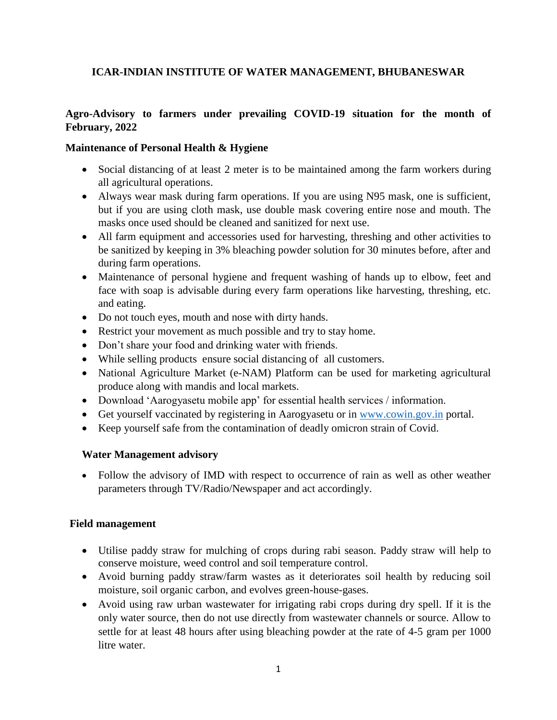# **ICAR-INDIAN INSTITUTE OF WATER MANAGEMENT, BHUBANESWAR**

## **Agro-Advisory to farmers under prevailing COVID-19 situation for the month of February, 2022**

## **Maintenance of Personal Health & Hygiene**

- Social distancing of at least 2 meter is to be maintained among the farm workers during all agricultural operations.
- Always wear mask during farm operations. If you are using N95 mask, one is sufficient, but if you are using cloth mask, use double mask covering entire nose and mouth. The masks once used should be cleaned and sanitized for next use.
- All farm equipment and accessories used for harvesting, threshing and other activities to be sanitized by keeping in 3% bleaching powder solution for 30 minutes before, after and during farm operations.
- Maintenance of personal hygiene and frequent washing of hands up to elbow, feet and face with soap is advisable during every farm operations like harvesting, threshing, etc. and eating.
- Do not touch eyes, mouth and nose with dirty hands.
- Restrict your movement as much possible and try to stay home.
- Don't share your food and drinking water with friends.
- While selling products ensure social distancing of all customers.
- National Agriculture Market (e-NAM) Platform can be used for marketing agricultural produce along with mandis and local markets.
- Download 'Aarogyasetu mobile app' for essential health services / information.
- Get yourself vaccinated by registering in Aarogyasetu or in [www.cowin.gov.in](http://www.cowin.gov.in/) portal.
- Keep yourself safe from the contamination of deadly omicron strain of Covid.

#### **Water Management advisory**

 Follow the advisory of IMD with respect to occurrence of rain as well as other weather parameters through TV/Radio/Newspaper and act accordingly.

#### **Field management**

- Utilise paddy straw for mulching of crops during rabi season. Paddy straw will help to conserve moisture, weed control and soil temperature control.
- Avoid burning paddy straw/farm wastes as it deteriorates soil health by reducing soil moisture, soil organic carbon, and evolves green-house-gases.
- Avoid using raw urban wastewater for irrigating rabi crops during dry spell. If it is the only water source, then do not use directly from wastewater channels or source. Allow to settle for at least 48 hours after using bleaching powder at the rate of 4-5 gram per 1000 litre water.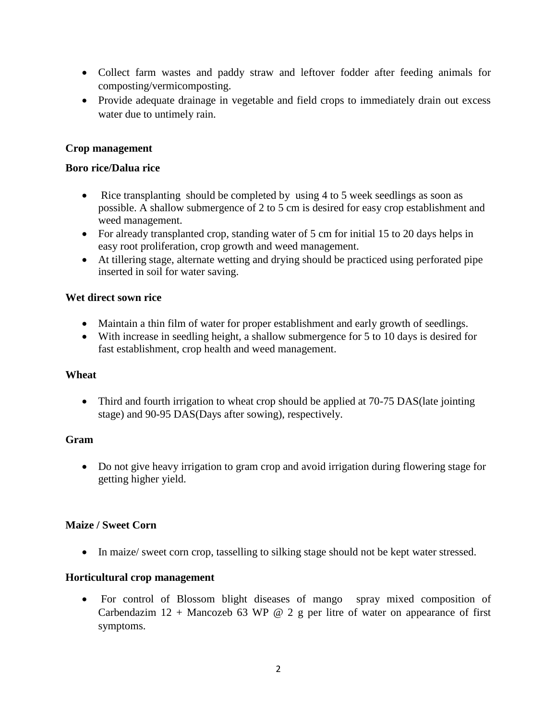- Collect farm wastes and paddy straw and leftover fodder after feeding animals for composting/vermicomposting.
- Provide adequate drainage in vegetable and field crops to immediately drain out excess water due to untimely rain.

## **Crop management**

#### **Boro rice/Dalua rice**

- Rice transplanting should be completed by using 4 to 5 week seedlings as soon as possible. A shallow submergence of 2 to 5 cm is desired for easy crop establishment and weed management.
- For already transplanted crop, standing water of 5 cm for initial 15 to 20 days helps in easy root proliferation, crop growth and weed management.
- At tillering stage, alternate wetting and drying should be practiced using perforated pipe inserted in soil for water saving.

#### **Wet direct sown rice**

- Maintain a thin film of water for proper establishment and early growth of seedlings.
- With increase in seedling height, a shallow submergence for 5 to 10 days is desired for fast establishment, crop health and weed management.

#### **Wheat**

• Third and fourth irrigation to wheat crop should be applied at 70-75 DAS (late jointing stage) and 90-95 DAS(Days after sowing), respectively.

#### **Gram**

 Do not give heavy irrigation to gram crop and avoid irrigation during flowering stage for getting higher yield.

#### **Maize / Sweet Corn**

• In maize/ sweet corn crop, tasselling to silking stage should not be kept water stressed.

#### **Horticultural crop management**

 For control of Blossom blight diseases of mango spray mixed composition of Carbendazim  $12 +$  Mancozeb 63 WP @ 2 g per litre of water on appearance of first symptoms.